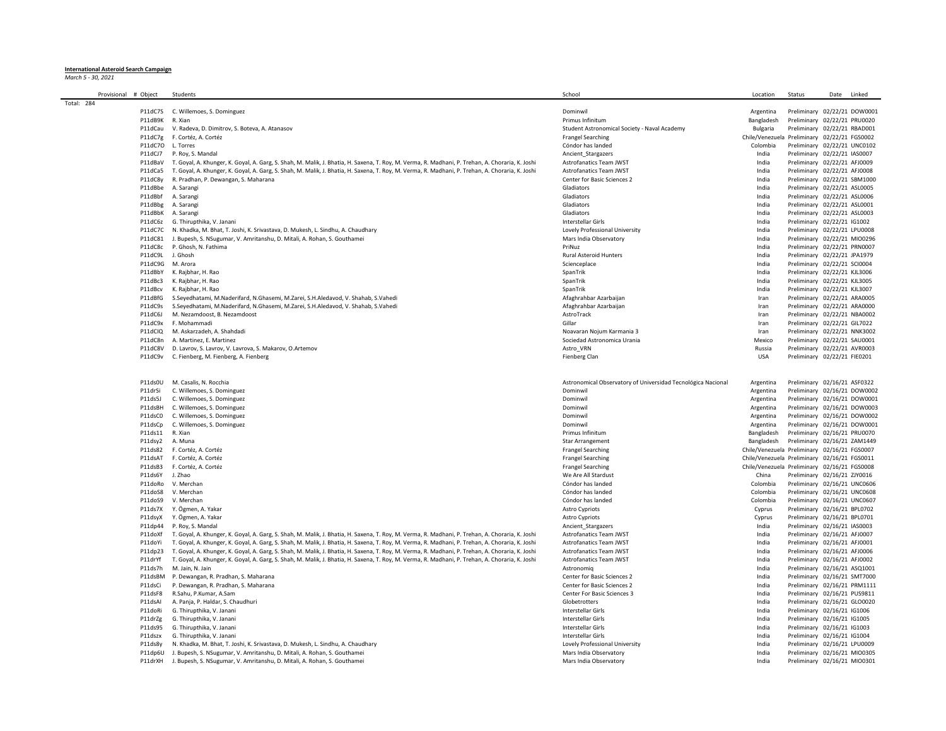## **International Asteroid Search Campaign** *March 5 - 30, 2021*

|            | Provisional # Object | Students                                                                                                                                                                                                                                                                                             | School                                                       | Location                                     | Status                                                       | Date Linked                  |
|------------|----------------------|------------------------------------------------------------------------------------------------------------------------------------------------------------------------------------------------------------------------------------------------------------------------------------------------------|--------------------------------------------------------------|----------------------------------------------|--------------------------------------------------------------|------------------------------|
| Total: 284 |                      |                                                                                                                                                                                                                                                                                                      |                                                              |                                              |                                                              |                              |
|            | P11dC7S              | C. Willemoes, S. Dominguez                                                                                                                                                                                                                                                                           | Dominwil                                                     | Argentina                                    |                                                              | Preliminary 02/22/21 DOW0001 |
|            | P11dB9K              | R. Xian                                                                                                                                                                                                                                                                                              | Primus Infinitum                                             | Bangladesh                                   | Preliminary 02/22/21 PRU0020                                 |                              |
|            | P11dCau              | V. Radeva, D. Dimitrov, S. Boteva, A. Atanasov                                                                                                                                                                                                                                                       | Student Astronomical Society - Naval Academy                 | Bulgaria                                     | Preliminary 02/22/21 RBAD001                                 |                              |
|            |                      | P11dC7g F. Cortéz, A. Cortéz                                                                                                                                                                                                                                                                         | <b>Frangel Searching</b>                                     | Chile/Venezuel                               | Preliminary 02/22/21 FGS0002                                 |                              |
|            | P11dC7O              | L. Torres                                                                                                                                                                                                                                                                                            | Cóndor has landed                                            | Colombia                                     | Preliminary 02/22/21 UNC0102                                 |                              |
|            | P11dCJ7              | P. Roy, S. Mandal                                                                                                                                                                                                                                                                                    | Ancient_Stargazers                                           | India                                        | Preliminary 02/22/21 IAS0007                                 |                              |
|            |                      | P11dBaV T. Goyal, A. Khunger, K. Goyal, A. Garg, S. Shah, M. Malik, J. Bhatia, H. Saxena, T. Roy, M. Verma, R. Madhani, P. Trehan, A. Choraria, K. Joshi                                                                                                                                             | <b>Astrofanatics Team JWST</b>                               | India                                        | Preliminary 02/22/21 AFJ0009                                 |                              |
|            | P11dCa5              | T. Goyal, A. Khunger, K. Goyal, A. Garg, S. Shah, M. Malik, J. Bhatia, H. Saxena, T. Roy, M. Verma, R. Madhani, P. Trehan, A. Choraria, K. Joshi                                                                                                                                                     | Astrofanatics Team JWST                                      | India                                        | Preliminary 02/22/21 AFJ0008                                 |                              |
|            | P11dC8y              | R. Pradhan, P. Dewangan, S. Maharana                                                                                                                                                                                                                                                                 | Center for Basic Sciences 2                                  | India                                        | Preliminary 02/22/21 SBM1000                                 |                              |
|            | P11dBbe<br>P11dBbf   | A. Sarangi<br>A. Sarangi                                                                                                                                                                                                                                                                             | Gladiators<br>Gladiators                                     | India<br>India                               | Preliminary 02/22/21 ASL0005                                 |                              |
|            | P11dBbg              | A. Sarangi                                                                                                                                                                                                                                                                                           | Gladiators                                                   | India                                        | Preliminary 02/22/21 ASL0006<br>Preliminary 02/22/21 ASL0001 |                              |
|            |                      | P11dBbK A. Sarangi                                                                                                                                                                                                                                                                                   | Gladiators                                                   | India                                        | Preliminary 02/22/21 ASL0003                                 |                              |
|            |                      | P11dC6z G. Thirupthika, V. Janani                                                                                                                                                                                                                                                                    | Interstellar Girls                                           | India                                        | Preliminary 02/22/21 IG1002                                  |                              |
|            | P11dC7C              | N. Khadka, M. Bhat, T. Joshi, K. Srivastava, D. Mukesh, L. Sindhu, A. Chaudhary                                                                                                                                                                                                                      | Lovely Professional University                               | India                                        | Preliminary 02/22/21 LPU0008                                 |                              |
|            | P11dC81              | J. Bupesh, S. NSugumar, V. Amritanshu, D. Mitali, A. Rohan, S. Gouthamei                                                                                                                                                                                                                             | Mars India Observatory                                       | India                                        | Preliminary 02/22/21 MIO0296                                 |                              |
|            | P11dC8c              | P. Ghosh, N. Fathima                                                                                                                                                                                                                                                                                 | PriNuz                                                       | India                                        | Preliminary 02/22/21 PRN0007                                 |                              |
|            | P11dC9L              | J. Ghosh                                                                                                                                                                                                                                                                                             | Rural Asteroid Hunters                                       | India                                        | Preliminary 02/22/21 JPA1979                                 |                              |
|            | P11dC9G              | M. Arora                                                                                                                                                                                                                                                                                             | Scienceplace                                                 | India                                        | Preliminary 02/22/21 SCI0004                                 |                              |
|            | P11dBbY              | K. Rajbhar, H. Rao                                                                                                                                                                                                                                                                                   | SpanTrik                                                     | India                                        | Preliminary 02/22/21 KJL3006                                 |                              |
|            | P11dBc3              | K. Rajbhar, H. Rao                                                                                                                                                                                                                                                                                   | SpanTrik                                                     | India                                        | Preliminary 02/22/21 KJL3005                                 |                              |
|            | P11dBcv              | K. Rajbhar, H. Rao                                                                                                                                                                                                                                                                                   | SpanTrik                                                     | India                                        | Preliminary 02/22/21 KJL3007                                 |                              |
|            | P11dBfG              | S.Seyedhatami, M.Naderifard, N.Ghasemi, M.Zarei, S.H.Aledavod, V. Shahab, S.Vahedi                                                                                                                                                                                                                   | Afaghrahbar Azarbaijan                                       | Iran                                         | Preliminary 02/22/21 ARA0005                                 |                              |
|            | P11dC9s              | S.Seyedhatami, M.Naderifard, N.Ghasemi, M.Zarei, S.H.Aledavod, V. Shahab, S.Vahedi                                                                                                                                                                                                                   | Afaghrahbar Azarbaijan                                       | Iran                                         | Preliminary 02/22/21 ARA0000                                 |                              |
|            | P11dC6J              | M. Nezamdoost, B. Nezamdoost                                                                                                                                                                                                                                                                         | AstroTrack                                                   | Iran                                         | Preliminary 02/22/21 NBA0002                                 |                              |
|            | P11dC9x              | F. Mohammadi                                                                                                                                                                                                                                                                                         | Gillar                                                       | Iran                                         | Preliminary 02/22/21 GIL7022                                 |                              |
|            | P11dClQ              | M. Askarzadeh, A. Shahdadi                                                                                                                                                                                                                                                                           | Noavaran Nojum Karmania 3                                    | Iran                                         | Preliminary 02/22/21 NNK3002                                 |                              |
|            | P11dC8n              | A. Martinez, E. Martinez                                                                                                                                                                                                                                                                             | Sociedad Astronomica Urania                                  | Mexico                                       | Preliminary 02/22/21 SAU0001                                 |                              |
|            | P11dC8V              | D. Lavrov, S. Lavrov, V. Lavrova, S. Makarov, O.Artemov                                                                                                                                                                                                                                              | Astro_VRN                                                    | Russia                                       | Preliminary 02/22/21 AVR0003                                 |                              |
|            | P11dC9v              | C. Fienberg, M. Fienberg, A. Fienberg                                                                                                                                                                                                                                                                | Fienberg Clan                                                | <b>USA</b>                                   | Preliminary 02/22/21 FIE0201                                 |                              |
|            |                      |                                                                                                                                                                                                                                                                                                      |                                                              |                                              |                                                              |                              |
|            | P11ds0U              | M. Casalis, N. Rocchia                                                                                                                                                                                                                                                                               | Astronomical Observatory of Universidad Tecnológica Nacional | Argentina                                    | Preliminary 02/16/21 ASF0322                                 |                              |
|            | P11drSi              | C. Willemoes, S. Dominguez                                                                                                                                                                                                                                                                           | Dominwil                                                     | Argentina                                    |                                                              | Preliminary 02/16/21 DOW0002 |
|            | P11ds5J              | C. Willemoes, S. Dominguez                                                                                                                                                                                                                                                                           | Dominwil                                                     | Argentina                                    |                                                              | Preliminary 02/16/21 DOW0001 |
|            | P11dsBH              | C. Willemoes, S. Dominguez                                                                                                                                                                                                                                                                           | Dominwil                                                     | Argentina                                    |                                                              | Preliminary 02/16/21 DOW0003 |
|            | P11dsC0              | C. Willemoes, S. Dominguez                                                                                                                                                                                                                                                                           | Dominwil                                                     | Argentina                                    |                                                              | Preliminary 02/16/21 DOW0002 |
|            | P11dsCp              | C. Willemoes, S. Dominguez                                                                                                                                                                                                                                                                           | Dominwil                                                     | Argentina                                    |                                                              | Preliminary 02/16/21 DOW0001 |
|            | P11ds11              | R. Xian                                                                                                                                                                                                                                                                                              | Primus Infinitum                                             | Bangladesh                                   | Preliminary 02/16/21 PRU0070                                 |                              |
|            | P11dsy2              | A. Muna                                                                                                                                                                                                                                                                                              | <b>Star Arrangement</b>                                      | Bangladesh                                   | Preliminary 02/16/21 ZAM1449                                 |                              |
|            | P11ds82              | F. Cortéz, A. Cortéz                                                                                                                                                                                                                                                                                 | <b>Frangel Searching</b>                                     | Chile/Venezuela Preliminary 02/16/21 FGS0007 |                                                              |                              |
|            | P11dsAT              | F. Cortéz, A. Cortéz                                                                                                                                                                                                                                                                                 | <b>Frangel Searching</b>                                     | Chile/Venezuela Preliminary 02/16/21 FGS0011 |                                                              |                              |
|            | P11dsB3              | F. Cortéz. A. Cortéz                                                                                                                                                                                                                                                                                 | <b>Frangel Searching</b>                                     | Chile/Venezuela Preliminary 02/16/21 FGS0008 |                                                              |                              |
|            | P11ds6Y              | J. Zhao                                                                                                                                                                                                                                                                                              | We Are All Stardust                                          | China                                        | Preliminary 02/16/21 ZJY0016                                 |                              |
|            | P11doRo              | V. Merchan                                                                                                                                                                                                                                                                                           | Cóndor has landed                                            | Colombia                                     | Preliminary 02/16/21 UNC0606                                 |                              |
|            | P11doS8              | V. Merchan                                                                                                                                                                                                                                                                                           | Cóndor has landed                                            | Colombia                                     | Preliminary 02/16/21 UNC0608                                 |                              |
|            | P11doS9              | V. Merchan                                                                                                                                                                                                                                                                                           | Cóndor has landed                                            | Colombia                                     | Preliminary 02/16/21 UNC0607                                 |                              |
|            | P11ds7X              | Y. Ögmen, A. Yakaı                                                                                                                                                                                                                                                                                   | <b>Astro Cypriots</b>                                        | Cyprus                                       | Preliminary 02/16/21 BPL0702                                 |                              |
|            | P11dsyX              | Y. Ögmen, A. Yakaı                                                                                                                                                                                                                                                                                   | <b>Astro Cypriots</b>                                        | Cyprus                                       | Preliminary 02/16/21 BPL0701                                 |                              |
|            | P11dp44              | P. Roy, S. Mandal                                                                                                                                                                                                                                                                                    | Ancient_Stargazers                                           | India<br>India                               | Preliminary 02/16/21 IAS0003<br>Preliminary 02/16/21 AFJ0007 |                              |
|            | P11doXf              | T. Goyal, A. Khunger, K. Goyal, A. Garg, S. Shah, M. Malik, J. Bhatia, H. Saxena, T. Roy, M. Verma, R. Madhani, P. Trehan, A. Choraria, K. Joshi                                                                                                                                                     | Astrofanatics Team JWST                                      |                                              |                                                              |                              |
|            | P11doYi<br>P11dp23   | T. Goyal, A. Khunger, K. Goyal, A. Garg, S. Shah, M. Malik, J. Bhatia, H. Saxena, T. Roy, M. Verma, R. Madhani, P. Trehan, A. Choraria, K. Joshi<br>T. Goyal, A. Khunger, K. Goyal, A. Garg, S. Shah, M. Malik, J. Bhatia, H. Saxena, T. Roy, M. Verma, R. Madhani, P. Trehan, A. Choraria, K. Joshi | Astrofanatics Team JWST<br>Astrofanatics Team JWST           | India<br>India                               | Preliminary 02/16/21 AFJ0001<br>Preliminary 02/16/21 AFJ0006 |                              |
|            | P11drYf              | T. Goyal, A. Khunger, K. Goyal, A. Garg, S. Shah, M. Malik, J. Bhatia, H. Saxena, T. Roy, M. Verma, R. Madhani, P. Trehan, A. Choraria, K. Joshi                                                                                                                                                     | Astrofanatics Team JWST                                      | India                                        | Preliminary 02/16/21 AFJ0002                                 |                              |
|            | P11ds7h              | M. Jain, N. Jain                                                                                                                                                                                                                                                                                     | Astronomig                                                   | India                                        | Preliminary 02/16/21 ASQ1001                                 |                              |
|            | P11dsBM              | P. Dewangan, R. Pradhan, S. Maharana                                                                                                                                                                                                                                                                 | Center for Basic Sciences 2                                  | India                                        | Preliminary 02/16/21 SMT7000                                 |                              |
|            | P11dsCi              | P. Dewangan, R. Pradhan, S. Maharana                                                                                                                                                                                                                                                                 | Center for Basic Sciences 2                                  | India                                        | Preliminary 02/16/21 PRM1111                                 |                              |
|            | P11dsF8              | R.Sahu, P.Kumar, A.Sam                                                                                                                                                                                                                                                                               | Center For Basic Sciences 3                                  | India                                        | Preliminary 02/16/21 PUS9811                                 |                              |
|            | P11dsAl              | A. Panja, P. Haldar, S. Chaudhuri                                                                                                                                                                                                                                                                    | Globetrotters                                                | India                                        | Preliminary 02/16/21 GLO0020                                 |                              |
|            | P11doRi              | G. Thirupthika, V. Janani                                                                                                                                                                                                                                                                            | Interstellar Girls                                           | India                                        | Preliminary 02/16/21 IG1006                                  |                              |
|            | P11drZg              | G. Thirupthika, V. Janani                                                                                                                                                                                                                                                                            | Interstellar Girls                                           | India                                        | Preliminary 02/16/21 IG1005                                  |                              |
|            | P11ds95              | G. Thirupthika, V. Janani                                                                                                                                                                                                                                                                            | Interstellar Girls                                           | India                                        | Preliminary 02/16/21 IG1003                                  |                              |
|            | P11dszx              | G. Thirupthika, V. Janani                                                                                                                                                                                                                                                                            | Interstellar Girls                                           | India                                        | Preliminary 02/16/21 IG1004                                  |                              |
|            | P11ds8y              | N. Khadka, M. Bhat, T. Joshi, K. Srivastava, D. Mukesh, L. Sindhu, A. Chaudhary                                                                                                                                                                                                                      | Lovely Professional University                               | India                                        | Preliminary 02/16/21 LPU0009                                 |                              |
|            |                      | P11dp6U J. Bupesh, S. NSugumar, V. Amritanshu, D. Mitali, A. Rohan, S. Gouthamei                                                                                                                                                                                                                     | Mars India Observatory                                       | India                                        | Preliminary 02/16/21 MIO0305                                 |                              |
|            |                      | P11drXH J. Bupesh, S. NSugumar, V. Amritanshu, D. Mitali, A. Rohan, S. Gouthamei                                                                                                                                                                                                                     | Mars India Observatory                                       | India                                        | Preliminary 02/16/21 MIO0301                                 |                              |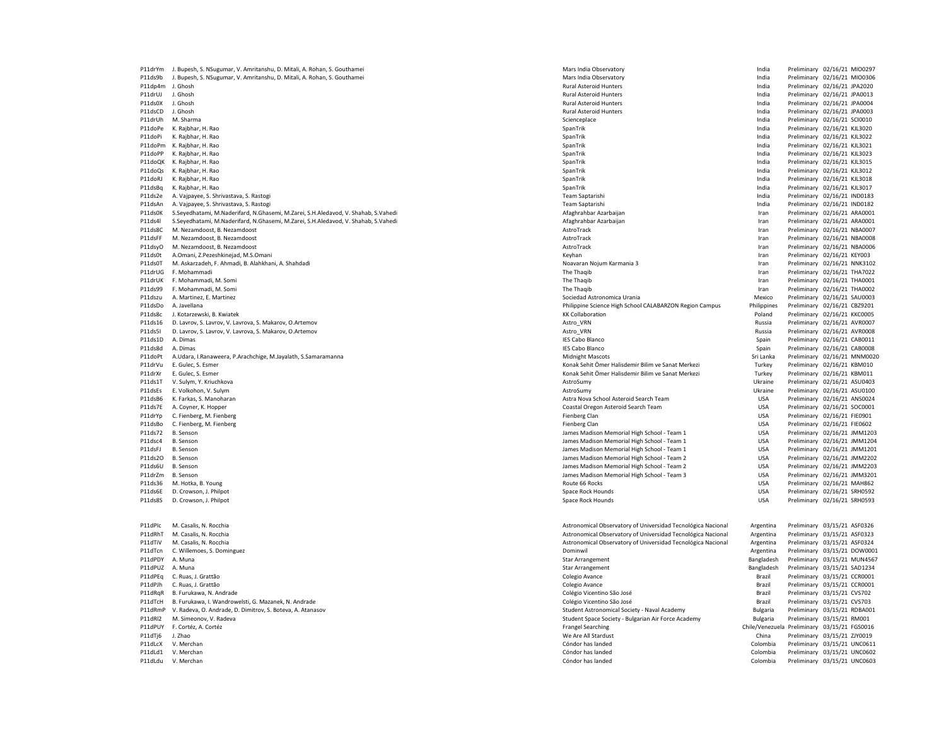|                  | P11drYm J. Bupesh, S. NSugumar, V. Amritanshu, D. Mitali, A. Rohan, S. Gouthamei   | Mars India Observatory                                       | India       | Preliminary 02/16/21 MIO0297                                |
|------------------|------------------------------------------------------------------------------------|--------------------------------------------------------------|-------------|-------------------------------------------------------------|
| P11ds9h          | J. Bupesh, S. NSugumar, V. Amritanshu, D. Mitali, A. Rohan, S. Gouthamei           | Mars India Observatory                                       | India       | Preliminary 02/16/21 MIO0306                                |
| P11dp4m J. Ghosh |                                                                                    | <b>Rural Asteroid Hunters</b>                                | India       | Preliminary 02/16/21 JPA2020                                |
| P11drUJ          | J. Ghosh                                                                           | Rural Asteroid Hunters                                       | India       | Preliminary 02/16/21 JPA0013                                |
| P11ds0X          | J. Ghosh                                                                           | Rural Asteroid Hunters                                       | India       | Preliminary 02/16/21 JPA0004                                |
| P11dsCD          | J. Ghosh                                                                           | <b>Rural Asteroid Hunters</b>                                | India       | Preliminary 02/16/21 JPA0003                                |
| P11drUh          | M. Sharma                                                                          | Scienceplace                                                 | India       | Preliminary 02/16/21 SCI0010                                |
|                  | K. Rajbhar, H. Rao                                                                 | SpanTrik                                                     | India       | Preliminary 02/16/21 KJL3020                                |
| P11doPe          |                                                                                    |                                                              |             |                                                             |
| P11doPi          | K. Rajbhar, H. Rao                                                                 | SpanTrik                                                     | India       | Preliminary 02/16/21 KJL3022                                |
| P11doPm          | K. Rajbhar, H. Rao                                                                 | SpanTrik                                                     | India       | Preliminary 02/16/21 KJL3021                                |
| P11doPP          | K. Rajbhar, H. Rao                                                                 | SpanTrik                                                     | India       | Preliminary 02/16/21 KJL3023                                |
| P11doQK          | K. Rajbhar, H. Rao                                                                 | SpanTrik                                                     | India       | Preliminary 02/16/21 KJL3015                                |
| P11doQs          | K. Rajbhar, H. Rao                                                                 | SpanTrik                                                     | India       | Preliminary 02/16/21 KJL3012                                |
| P11doRJ          | K. Rajbhar, H. Rao                                                                 | SpanTrik                                                     | India       | Preliminary 02/16/21 KJL3018                                |
| P11dsBq          | K. Rajbhar, H. Rao                                                                 | SpanTrik                                                     | India       | Preliminary 02/16/21 KJL3017                                |
| P11ds2e          | A. Vajpayee, S. Shrivastava, S. Rastogi                                            | Team Saptarishi                                              | India       | Preliminary 02/16/21 IND0183                                |
| P11dsAn          | A. Vajpayee, S. Shrivastava, S. Rastogi                                            | Team Saptarishi                                              | India       | Preliminary 02/16/21 IND0182                                |
| P11ds0K          | S.Seyedhatami, M.Naderifard, N.Ghasemi, M.Zarei, S.H.Aledavod, V. Shahab, S.Vahedi | Afaghrahbar Azarbaijan                                       | Iran        | Preliminary 02/16/21 ARA0001                                |
| P11ds4l          | S.Seyedhatami, M.Naderifard, N.Ghasemi, M.Zarei, S.H.Aledavod, V. Shahab, S.Vahedi | Afaghrahbar Azarbaijan                                       | Iran        | Preliminary 02/16/21 ARA0001                                |
| P11ds8C          | M. Nezamdoost, B. Nezamdoost                                                       | AstroTrack                                                   | Iran        | Preliminary 02/16/21 NBA0007                                |
| P11dsFF          | M. Nezamdoost, B. Nezamdoost                                                       | AstroTrack                                                   | Iran        | Preliminary 02/16/21 NBA0008                                |
| P11dsyO          | M. Nezamdoost, B. Nezamdoost                                                       | AstroTrack                                                   | Iran        | Preliminary 02/16/21 NBA0006                                |
| P11ds0t          | A.Omani, Z.Pezeshkinejad, M.S.Omani                                                | Keyhan                                                       | Iran        | Preliminary 02/16/21 KEY003                                 |
| P11ds0T          | M. Askarzadeh, F. Ahmadi, B. Alahkhani, A. Shahdadi                                | Noavaran Noium Karmania 3                                    | Iran        | Preliminary 02/16/21 NNK3102                                |
| P11drUG          | F. Mohammadi                                                                       | The Thaqib                                                   | Iran        | Preliminary 02/16/21 THA7022                                |
| P11drUK          | F. Mohammadi, M. Somi                                                              | The Thaqib                                                   | Iran        | Preliminary 02/16/21 THA0001                                |
| P11ds99          | F. Mohammadi, M. Somi                                                              | The Thaqib                                                   | Iran        | Preliminary 02/16/21 THA0002                                |
| P11dszu          | A. Martinez, F. Martinez                                                           |                                                              | Mexico      |                                                             |
|                  |                                                                                    | Sociedad Astronomica Urania                                  |             | Preliminary 02/16/21 SAU0003                                |
| P11dsDo          | A. Javellana                                                                       | Philippine Science High School CALABARZON Region Campus      | Philippines | Preliminary 02/16/21 CBZ9201                                |
| P11ds8c          | J. Kotarzewski, B. Kwiatek                                                         | <b>KK Collaboration</b>                                      | Poland      | Preliminary 02/16/21 KKC0005                                |
| P11ds16          | D. Lavrov, S. Lavrov, V. Lavrova, S. Makarov, O.Artemov                            | Astro_VRN                                                    | Russia      | Preliminary 02/16/21 AVR0007                                |
| P11ds5I          | D. Lavrov, S. Lavrov, V. Lavrova, S. Makarov, O.Artemov                            | Astro_VRN                                                    | Russia      | Preliminary 02/16/21 AVR0008                                |
| P11ds1D          | A. Dimas                                                                           | <b>IES Cabo Blanco</b>                                       | Spain       | Preliminary 02/16/21 CAB0011                                |
| P11ds8d          | A. Dimas                                                                           | <b>IES Cabo Blanco</b>                                       | Spain       | Preliminary 02/16/21 CAB0008                                |
| P11doPt          | A.Udara, I.Ranaweera, P.Arachchige, M.Jayalath, S.Samaramanna                      | <b>Midnight Mascots</b>                                      | Sri Lanka   | Preliminary 02/16/21 MNM0020                                |
| P11drVu          | E. Gulec, S. Esmer                                                                 | Konak Sehit Ömer Halisdemir Bilim ve Sanat Merkezi           | Turkey      | Preliminary 02/16/21 KBM010                                 |
| P11drXr          | E. Gulec, S. Esmer                                                                 | Konak Sehit Ömer Halisdemir Bilim ve Sanat Merkezi           | Turkey      | Preliminary 02/16/21 KBM011                                 |
| P11ds1T          | V. Sulym, Y. Kriuchkova                                                            | AstroSumy                                                    | Ukraine     | Preliminary 02/16/21 ASU0403                                |
| P11dsEs          | E. Volkohon, V. Sulym                                                              | AstroSumy                                                    | Ukraine     | Preliminary 02/16/21 ASU0100                                |
| P11dsB6          | K. Farkas, S. Manoharan                                                            | Astra Nova School Asteroid Search Team                       | <b>USA</b>  | Preliminary 02/16/21 ANS0024                                |
| P11ds7E          | A. Coyner, K. Hopper                                                               | Coastal Oregon Asteroid Search Team                          | <b>USA</b>  | Preliminary 02/16/21 SOC0001                                |
| P11drYp          | C. Fienberg, M. Fienberg                                                           | Fienberg Clan                                                | <b>USA</b>  | Preliminary 02/16/21 FIE0901                                |
| P11dsBo          | C. Fienberg, M. Fienberg                                                           | Fienberg Clan                                                | USA         | Preliminary 02/16/21 FIE0602                                |
| P11ds72          | B. Senson                                                                          | James Madison Memorial High School - Team 1                  | USA         | Preliminary 02/16/21 JMM1203                                |
| P11dsc4          | B. Senson                                                                          | James Madison Memorial High School - Team 1                  | USA         | Preliminary 02/16/21 JMM1204                                |
| P11dsFJ          | B. Senson                                                                          | James Madison Memorial High School - Team 1                  | USA         | Preliminary 02/16/21 JMM1201                                |
| P11ds2O          | B. Senson                                                                          | James Madison Memorial High School - Team 2                  | USA         | Preliminary 02/16/21 JMM2202                                |
| P11ds6U          | <b>B.</b> Senson                                                                   | James Madison Memorial High School - Team 2                  | <b>USA</b>  | Preliminary 02/16/21 JMM2203                                |
| P11drZm          | B. Senson                                                                          | James Madison Memorial High School - Team 3                  | <b>USA</b>  |                                                             |
|                  |                                                                                    | Route 66 Rocks                                               | USA         | Preliminary 02/16/21 JMM3201<br>Preliminary 02/16/21 MAH862 |
| P11ds36          | M. Hotka, B. Young                                                                 |                                                              |             |                                                             |
| P11ds6E          | D. Crowson, J. Philpot                                                             | Space Rock Hounds                                            | <b>USA</b>  | Preliminary 02/16/21 SRH0592                                |
| P11ds8S          | D. Crowson, J. Philpot                                                             | Space Rock Hounds                                            | <b>USA</b>  | Preliminary 02/16/21 SRH0593                                |
|                  |                                                                                    |                                                              |             |                                                             |
|                  |                                                                                    |                                                              |             |                                                             |
| P11dPIc          | M. Casalis, N. Rocchia                                                             | Astronomical Observatory of Universidad Tecnológica Nacional | Argentina   | Preliminary 03/15/21 ASF0326                                |
| P11dRhT          | M. Casalis, N. Rocchia                                                             | Astronomical Observatory of Universidad Tecnológica Nacional | Argentina   | Preliminary 03/15/21 ASF0323                                |
| P11dTiV          | M. Casalis, N. Rocchia                                                             | Astronomical Observatory of Universidad Tecnológica Nacional | Argentina   | Preliminary 03/15/21 ASF0324                                |
| P11dTcn          | C. Willemoes, S. Dominguez                                                         | Dominwil                                                     | Argentina   | Preliminary 03/15/21 DOW0001                                |
| P11dPDY          | A. Muna                                                                            | <b>Star Arrangement</b>                                      | Bangladesh  | Preliminary 03/15/21 MUN4567                                |
| P11dPUZ A. Muna  |                                                                                    | Star Arrangement                                             | Bangladesh  | Preliminary 03/15/21 SAD1234                                |
| P11dPEq          | C. Ruas, J. Grattão                                                                | Colegio Avance                                               | Brazil      | Preliminary 03/15/21 CCR0001                                |
| P11dPJh          | C. Ruas, J. Grattão                                                                | Colegio Avance                                               | Brazil      | Preliminary 03/15/21 CCR0001                                |
| P11dRaR          | B. Furukawa, N. Andrade                                                            | Colégio Vicentino São José                                   | Brazil      | Preliminary 03/15/21 CVS702                                 |
| P11dTcH          | B. Furukawa, I. Wandrowelsti, G. Mazanek, N. Andrade                               | Colégio Vicentino São José                                   | Brazil      | Preliminary 03/15/21 CVS703                                 |
| P11dRmP          | V. Radeva, O. Andrade, D. Dimitrov, S. Boteva, A. Atanasov                         | Student Astronomical Society - Naval Academy                 | Bulgaria    | Preliminary 03/15/21 RDBA001                                |
| P11dRI2          | M. Simeonov, V. Radeva                                                             | Student Space Society - Bulgarian Air Force Academy          | Bulgaria    | Preliminary 03/15/21 RM001                                  |
| P11dPUY          | F. Cortéz, A. Cortéz                                                               | <b>Frangel Searching</b>                                     |             | Chile/Venezuela Preliminary 03/15/21 FGS0016                |
| P11dTj6          | J. Zhao                                                                            | We Are All Stardust                                          | China       | Preliminary 03/15/21 ZJY0019                                |
| P11dLcX          | V. Merchan                                                                         | Cóndor has landed                                            | Colombia    | Preliminary 03/15/21 UNC0611                                |
| P11dLd1          | V. Merchan                                                                         | Cóndor has landed                                            | Colombia    | Preliminary 03/15/21 UNC0602                                |
|                  |                                                                                    |                                                              | Colombia    | Preliminary 03/15/21 UNC0603                                |
|                  | P11dLdu V. Merchan                                                                 | Cóndor has landed                                            |             |                                                             |
|                  |                                                                                    |                                                              |             |                                                             |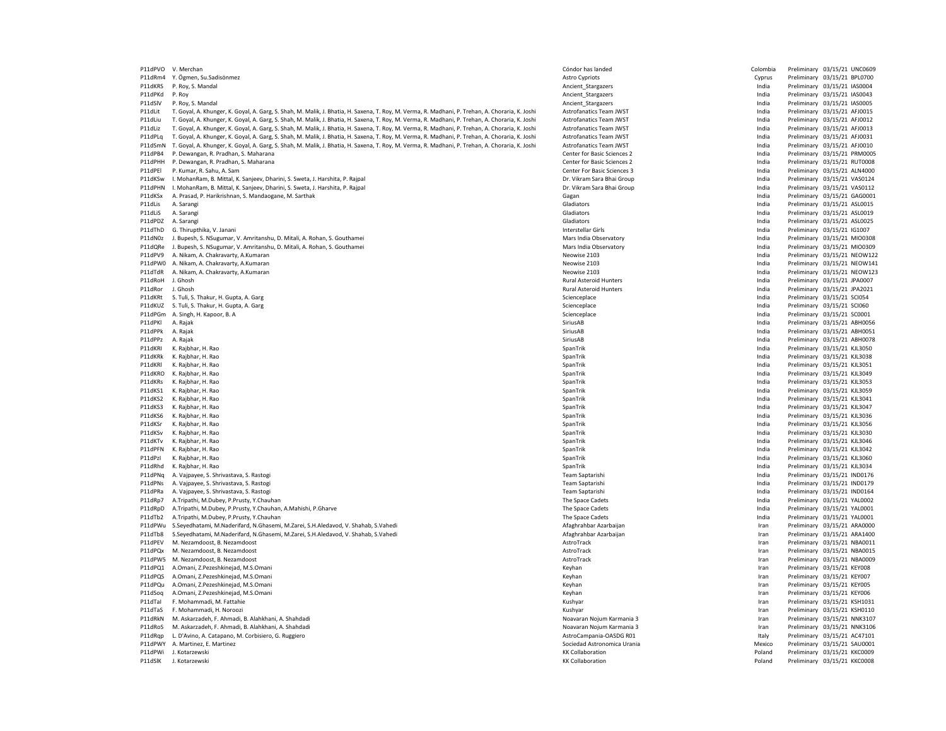| P11dPVO            | V. Merchan                                                                                                                                       | Cóndor has landed                                  | Colombia         | Preliminary 03/15/21 UNC0609                                 |
|--------------------|--------------------------------------------------------------------------------------------------------------------------------------------------|----------------------------------------------------|------------------|--------------------------------------------------------------|
| P11dRm4            | Y. Ögmen, Su.Sadisönmez                                                                                                                          | Astro Cypriots                                     | Cyprus           | Preliminary 03/15/21 BPL0700                                 |
| P11dKRS            | P. Roy, S. Mandal                                                                                                                                | Ancient_Stargazers                                 | India            | Preliminary 03/15/21 IAS0004                                 |
| P11dPKd            | P. Roy                                                                                                                                           | Ancient_Stargazers                                 | India            | Preliminary 03/15/21 IAS0043                                 |
| P11dSlV            | P. Roy, S. Mandal                                                                                                                                | Ancient Stargazers                                 | India            | Preliminary 03/15/21 IAS0005                                 |
|                    |                                                                                                                                                  |                                                    |                  |                                                              |
| P11dlit            | T. Goyal, A. Khunger, K. Goyal, A. Garg, S. Shah, M. Malik, J. Bhatia, H. Saxena, T. Roy, M. Verma, R. Madhani, P. Trehan, A. Choraria, K. Joshi | <b>Astrofanatics Team JWST</b>                     | India            | Preliminary 03/15/21 AFJ0015                                 |
| P11dLiu            | T. Goyal, A. Khunger, K. Goyal, A. Garg, S. Shah, M. Malik, J. Bhatia, H. Saxena, T. Roy, M. Verma, R. Madhani, P. Trehan, A. Choraria, K. Joshi | Astrofanatics Team JWST                            | India            | Preliminary 03/15/21 AFJ0012                                 |
| P11dLiz            | T. Goyal, A. Khunger, K. Goyal, A. Garg, S. Shah, M. Malik, J. Bhatia, H. Saxena, T. Roy, M. Verma, R. Madhani, P. Trehan, A. Choraria, K. Joshi | Astrofanatics Team JWST                            | India            | Preliminary 03/15/21 AFJ0013                                 |
| P11dPLq            | T. Goyal, A. Khunger, K. Goyal, A. Garg, S. Shah, M. Malik, J. Bhatia, H. Saxena, T. Roy, M. Verma, R. Madhani, P. Trehan, A. Choraria, K. Joshi | Astrofanatics Team JWST                            | India            | Preliminary 03/15/21 AFJ0031                                 |
| P11dSmN            | T. Goyal, A. Khunger, K. Goyal, A. Garg, S. Shah, M. Malik, J. Bhatia, H. Saxena, T. Roy, M. Verma, R. Madhani, P. Trehan, A. Choraria, K. Joshi | Astrofanatics Team JWST                            | India            | Preliminary 03/15/21 AFJ0010                                 |
|                    |                                                                                                                                                  |                                                    |                  |                                                              |
| P11dPB4            | P. Dewangan, R. Pradhan, S. Maharana                                                                                                             | Center for Basic Sciences 2                        | India            | Preliminary 03/15/21 PRM0005                                 |
| P11dPHH            | P. Dewangan, R. Pradhan, S. Maharana                                                                                                             | Center for Basic Sciences 2                        | India            | Preliminary 03/15/21 RUT0008                                 |
| P11dPEI            | P. Kumar, R. Sahu, A. Sam                                                                                                                        | Center For Basic Sciences 3                        | India            | Preliminary 03/15/21 ALN4000                                 |
| P11dKSw            | I. MohanRam, B. Mittal, K. Sanjeev, Dharini, S. Sweta, J. Harshita, P. Rajpal                                                                    | Dr. Vikram Sara Bhai Group                         | India            | Preliminary 03/15/21 VAS0124                                 |
| P11dPHN            | I. MohanRam, B. Mittal, K. Sanjeev, Dharini, S. Sweta, J. Harshita, P. Rajpal                                                                    | Dr. Vikram Sara Bhai Group                         | India            | Preliminary 03/15/21 VAS0112                                 |
|                    |                                                                                                                                                  |                                                    |                  |                                                              |
| P11dKSx            | A. Prasad, P. Harikrishnan, S. Mandaogane, M. Sarthak                                                                                            | Gagan                                              | India            | Preliminary 03/15/21 GAG0001                                 |
| P11dLis            | A. Sarangi                                                                                                                                       | Gladiators                                         | India            | Preliminary 03/15/21 ASL0015                                 |
| P11dLiS            | A. Sarangi                                                                                                                                       | Gladiators                                         | India            | Preliminary 03/15/21 ASL0019                                 |
| P11dPDZ            | A. Sarangi                                                                                                                                       | Gladiators                                         | India            | Preliminary 03/15/21 ASL0025                                 |
| P11dThD            | G. Thirupthika, V. Janani                                                                                                                        | Interstellar Girls                                 | India            | Preliminary 03/15/21 IG1007                                  |
|                    |                                                                                                                                                  |                                                    |                  |                                                              |
| P11dN0z            | J. Bupesh, S. NSugumar, V. Amritanshu, D. Mitali, A. Rohan, S. Gouthamei                                                                         | Mars India Observatory                             | India            | Preliminary 03/15/21 MIO0308                                 |
| P11dQRe            | J. Bupesh, S. NSugumar, V. Amritanshu, D. Mitali, A. Rohan, S. Gouthamei                                                                         | Mars India Observatory                             | India            | Preliminary 03/15/21 MIO0309                                 |
| P11dPV9            | A. Nikam, A. Chakravarty, A.Kumaran                                                                                                              | Neowise 2103                                       | India            | Preliminary 03/15/21 NEOW122                                 |
| P11dPW0            | A. Nikam, A. Chakravarty, A. Kumaran                                                                                                             | Neowise 2103                                       | India            | Preliminary 03/15/21 NEOW141                                 |
| P11dTdR            | A. Nikam, A. Chakravarty, A.Kumaran                                                                                                              | Neowise 2103                                       | India            | Preliminary 03/15/21 NEOW123                                 |
|                    |                                                                                                                                                  |                                                    |                  |                                                              |
| P11dRoH            | J. Ghosh                                                                                                                                         | <b>Rural Asteroid Hunters</b>                      | India            | Preliminary 03/15/21 JPA0007                                 |
| P11dRor            | J. Ghosh                                                                                                                                         | <b>Rural Asteroid Hunters</b>                      | India            | Preliminary 03/15/21 JPA2021                                 |
| P11dKRt            | S. Tuli, S. Thakur, H. Gupta, A. Garg                                                                                                            | Scienceplace                                       | India            | Preliminary 03/15/21 SCI054                                  |
| P11dKUZ            | S. Tuli, S. Thakur, H. Gupta, A. Garg                                                                                                            | Scienceplace                                       | India            | Preliminary 03/15/21 SCI060                                  |
| P11dPGm            | A. Singh, H. Kapoor, B. A                                                                                                                        | Scienceplace                                       | India            | Preliminary 03/15/21 SC0001                                  |
| P11dPKI            | A. Rajak                                                                                                                                         | SiriusAB                                           | India            | Preliminary 03/15/21 ABH0056                                 |
|                    |                                                                                                                                                  |                                                    |                  |                                                              |
| P11dPPk            | A. Rajak                                                                                                                                         | SiriusAB                                           | India            | Preliminary 03/15/21 ABH0051                                 |
| P11dPPz            | A. Rajak                                                                                                                                         | SiriusAB                                           | India            | Preliminary 03/15/21 ABH0078                                 |
| P11dKRI            | K. Rajbhar, H. Rao                                                                                                                               | SpanTrik                                           | India            | Preliminary 03/15/21 KJL3050                                 |
| P11dKRk            | K. Rajbhar, H. Rao                                                                                                                               | SpanTrik                                           | India            | Preliminary 03/15/21 KJL3038                                 |
| P11dKRI            | K. Rajbhar, H. Rao                                                                                                                               | SpanTrik                                           | India            | Preliminary 03/15/21 KJL3051                                 |
|                    |                                                                                                                                                  |                                                    |                  |                                                              |
| P11dKRO            | K. Raibhar, H. Rao                                                                                                                               | SpanTrik                                           | India            | Preliminary 03/15/21 KJL3049                                 |
| P11dKRs            | K. Rajbhar, H. Rao                                                                                                                               | SpanTrik                                           | India            | Preliminary 03/15/21 KJL3053                                 |
| P11dKS1            | K. Rajbhar, H. Rao                                                                                                                               | SpanTrik                                           | India            | Preliminary 03/15/21 KJL3059                                 |
| P11dKS2            | K. Rajbhar, H. Rao                                                                                                                               | SpanTrik                                           | India            | Preliminary 03/15/21 KJL3041                                 |
| P11dKS3            | K. Rajbhar, H. Rao                                                                                                                               | SpanTrik                                           | India            | Preliminary 03/15/21 KJL3047                                 |
|                    |                                                                                                                                                  |                                                    |                  |                                                              |
| P11dKS6            | K. Rajbhar, H. Rao                                                                                                                               | SpanTrik                                           | India            | Preliminary 03/15/21 KJL3036                                 |
| P11dKSr            | K. Rajbhar, H. Rao                                                                                                                               | SpanTrik                                           | India            | Preliminary 03/15/21 KJL3056                                 |
| P11dKSv            | K. Rajbhar, H. Rao                                                                                                                               | SpanTrik                                           | India            | Preliminary 03/15/21 KJL3030                                 |
| P11dKTv            | K. Rajbhar, H. Rao                                                                                                                               | SpanTrik                                           | India            | Preliminary 03/15/21 KJL3046                                 |
| P11dPFN            | K. Rajbhar, H. Rao                                                                                                                               | SpanTrik                                           | India            | Preliminary 03/15/21 KJL3042                                 |
|                    |                                                                                                                                                  |                                                    |                  |                                                              |
| P11dPzI            | K. Rajbhar, H. Rao                                                                                                                               | SpanTrik                                           | India            | Preliminary 03/15/21 KJL3060                                 |
| P11dRhd            | K. Raibhar, H. Rao                                                                                                                               | SpanTrik                                           | India            | Preliminary 03/15/21 KJL3034                                 |
| P11dPNq            | A. Vajpayee, S. Shrivastava, S. Rastogi                                                                                                          | Team Saptarishi                                    | India            | Preliminary 03/15/21 IND0176                                 |
| P11dPNs            | A. Vajpayee, S. Shrivastava, S. Rastogi                                                                                                          | Team Saptarishi                                    | India            | Preliminary 03/15/21 IND0179                                 |
| P11dPRa            | A. Vajpayee, S. Shrivastava, S. Rastogi                                                                                                          | Team Saptarishi                                    | India            | Preliminary 03/15/21 IND0164                                 |
| P11dRn7            |                                                                                                                                                  | The Space Cadets                                   | India            | Preliminary 03/15/21 YAL0002                                 |
|                    | A.Tripathi, M.Dubey, P.Prusty, Y.Chauhan                                                                                                         |                                                    |                  |                                                              |
| P11dRpD            | A.Tripathi, M.Dubey, P.Prusty, Y.Chauhan, A.Mahishi, P.Gharve                                                                                    | The Space Cadets                                   | India            | Preliminary 03/15/21 YAL0001                                 |
| P11dTb2            | A.Tripathi, M.Dubey, P.Prusty, Y.Chauhan                                                                                                         | The Space Cadets                                   | India            | Preliminary 03/15/21 YAL0001                                 |
| P11dPWu            | S.Seyedhatami, M.Naderifard, N.Ghasemi, M.Zarei, S.H.Aledavod, V. Shahab, S.Vahedi                                                               | Afaghrahbar Azarbaijan                             | Iran             | Preliminary 03/15/21 ARA0000                                 |
| P11dTb8            | S.Seyedhatami, M.Naderifard, N.Ghasemi, M.Zarei, S.H.Aledavod, V. Shahab, S.Vahedi                                                               | Afaghrahbar Azarbaijan                             | Iran             | Preliminary 03/15/21 ARA1400                                 |
|                    |                                                                                                                                                  |                                                    |                  |                                                              |
| P11dPEV            | M. Nezamdoost, B. Nezamdoost                                                                                                                     | AstroTrack                                         | Iran             | Preliminary 03/15/21 NBA0011                                 |
| P11dPOx            | M. Nezamdoost, B. Nezamdoost                                                                                                                     | AstroTrack                                         | Iran             | Preliminary 03/15/21 NBA0015                                 |
| P11dPW5            | M. Nezamdoost. B. Nezamdoost                                                                                                                     | AstroTrack                                         | Iran             | Preliminary 03/15/21 NBA0009                                 |
| P11dPQ1            | A.Omani, Z.Pezeshkinejad, M.S.Omani                                                                                                              | Keyhan                                             | Iran             | Preliminary 03/15/21 KEY008                                  |
| P11dPQS            | A.Omani, Z.Pezeshkinejad, M.S.Omani                                                                                                              | Keyhan                                             | Iran             | Preliminary 03/15/21 KEY007                                  |
| P11dPOu            | A.Omani, 7.Pezeshkinejad, M.S.Omani                                                                                                              | Keyhan                                             | Iran             | Preliminary 03/15/21 KEY005                                  |
|                    |                                                                                                                                                  |                                                    |                  |                                                              |
| P11dSog            |                                                                                                                                                  | Kevhan                                             | Iran             | Preliminary 03/15/21 KEY006                                  |
|                    | A.Omani, Z.Pezeshkinejad, M.S.Omani                                                                                                              |                                                    |                  |                                                              |
| P11dTal            | F. Mohammadi, M. Fattahie                                                                                                                        | Kushyar                                            | Iran             | Preliminary 03/15/21 KSH1031                                 |
| P11dTaS            | F. Mohammadi, H. Noroozi                                                                                                                         | Kushyar                                            | Iran             | Preliminary 03/15/21 KSH0110                                 |
|                    |                                                                                                                                                  |                                                    |                  |                                                              |
| P11dRkN            | M. Askarzadeh, F. Ahmadi, B. Alahkhani, A. Shahdadi                                                                                              | Noavaran Nojum Karmania 3                          | Iran             | Preliminary 03/15/21 NNK3107                                 |
| P11dRoS            | M. Askarzadeh, F. Ahmadi, B. Alahkhani, A. Shahdadi                                                                                              | Noavaran Nojum Karmania 3                          | Iran             | Preliminary 03/15/21 NNK3106                                 |
| P11dRap            | L. D'Avino, A. Catapano, M. Corbisiero, G. Ruggiero                                                                                              | AstroCampania-OASDG R01                            | Italy            | Preliminary 03/15/21 AC47101                                 |
|                    | P11dPWY A. Martinez, E. Martinez                                                                                                                 | Sociedad Astronomica Urania                        | Mexico           | Preliminary 03/15/21 SAU0001                                 |
|                    |                                                                                                                                                  |                                                    |                  |                                                              |
| P11dPWi<br>P11dSlK | J. Kotarzewski<br>J. Kotarzewski                                                                                                                 | <b>KK Collaboration</b><br><b>KK Collaboration</b> | Poland<br>Poland | Preliminary 03/15/21 KKC0009<br>Preliminary 03/15/21 KKC0008 |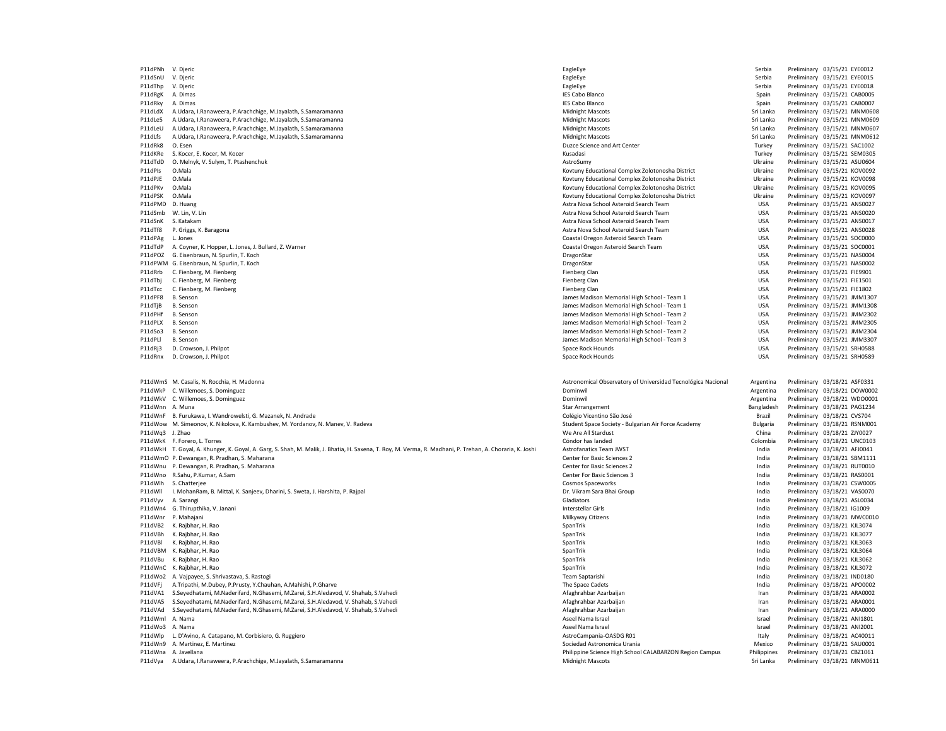| P11dPNh V. Djeric  |                                                                                                                                                          | EagleEye                                                                    | Serbia                   | Preliminary 03/15/21 EYE0012                                 |  |
|--------------------|----------------------------------------------------------------------------------------------------------------------------------------------------------|-----------------------------------------------------------------------------|--------------------------|--------------------------------------------------------------|--|
| P11dSnU            | V. Djeric                                                                                                                                                | EagleEye                                                                    | Serbia                   | Preliminary 03/15/21 EYE0015                                 |  |
| P11dThp            | V. Dieric                                                                                                                                                | EagleEye                                                                    | Serbia                   | Preliminary 03/15/21 EYE0018                                 |  |
| P11dRgK            | A. Dimas                                                                                                                                                 | <b>IES Cabo Blanco</b>                                                      | Spain                    | Preliminary 03/15/21 CAB0005                                 |  |
| P11dRky            | A. Dimas                                                                                                                                                 | <b>IES Cabo Blanco</b>                                                      | Spain                    | Preliminary 03/15/21 CAB0007                                 |  |
| P11dLdX            | A.Udara, I.Ranaweera, P.Arachchige, M.Jayalath, S.Samaramanna                                                                                            | <b>Midnight Mascots</b>                                                     | Sri Lanka                | Preliminary 03/15/21 MNM0608                                 |  |
| P11dLe5            | A.Udara, I.Ranaweera, P.Arachchige, M.Jayalath, S.Samaramanna                                                                                            | <b>Midnight Mascots</b>                                                     | Sri Lanka                | Preliminary 03/15/21 MNM0609                                 |  |
| P11dLeU            | A.Udara, I.Ranaweera, P.Arachchige, M.Jayalath, S.Samaramanna                                                                                            | <b>Midnight Mascots</b>                                                     | Sri Lanka                | Preliminary 03/15/21 MNM0607                                 |  |
| P11dLfs            | A.Udara, I.Ranaweera, P.Arachchige, M.Jayalath, S.Samaramanna                                                                                            | Midnight Mascots                                                            | Sri Lanka                | Preliminary 03/15/21 MNM0612                                 |  |
| P11dRk8            | O. Esen                                                                                                                                                  | Duzce Science and Art Center                                                | Turkey                   | Preliminary 03/15/21 SAC1002                                 |  |
| P11dKRe            | S. Kocer, E. Kocer, M. Kocer                                                                                                                             | Kusadasi                                                                    | Turkey                   | Preliminary 03/15/21 SEM0305                                 |  |
| P11dTdD            | O. Melnyk, V. Sulym, T. Ptashenchuk                                                                                                                      | AstroSumy                                                                   | Ukraine                  | Preliminary 03/15/21 ASU0604                                 |  |
| P11dPIs            | O.Mala                                                                                                                                                   | Kovtuny Educational Complex Zolotonosha District                            | Ukraine                  | Preliminary 03/15/21 KOV0092                                 |  |
| P11dPJE            | O.Mala                                                                                                                                                   | Kovtuny Educational Complex Zolotonosha District                            | Ukraine                  | Preliminary 03/15/21 KOV0098                                 |  |
| P11dPKv            | O.Mala                                                                                                                                                   | Kovtuny Educational Complex Zolotonosha District                            | Ukraine                  | Preliminary 03/15/21 KOV0095                                 |  |
| P11dPSK            | O.Mala                                                                                                                                                   | Kovtuny Educational Complex Zolotonosha District                            | Ukraine                  | Preliminary 03/15/21 KOV0097                                 |  |
| P11dPMD            | D. Huang                                                                                                                                                 | Astra Nova School Asteroid Search Team                                      | <b>USA</b>               | Preliminary 03/15/21 ANS0027                                 |  |
| P11dSmb            | W. Lin, V. Lin                                                                                                                                           | Astra Nova School Asteroid Search Team                                      | <b>USA</b>               | Preliminary 03/15/21 ANS0020                                 |  |
| P11dSnK            | S. Katakam                                                                                                                                               | Astra Nova School Asteroid Search Team                                      | <b>USA</b>               | Preliminary 03/15/21 ANS0017                                 |  |
| P11dTf8            | P. Griggs, K. Baragona                                                                                                                                   | Astra Nova School Asteroid Search Team                                      | <b>USA</b>               | Preliminary 03/15/21 ANS0028                                 |  |
| P11dPAg            | L. Jones                                                                                                                                                 | Coastal Oregon Asteroid Search Team                                         | USA                      | Preliminary 03/15/21 SOC0000                                 |  |
|                    |                                                                                                                                                          |                                                                             | <b>USA</b>               |                                                              |  |
| P11dTdP<br>P11dPOZ | A. Coyner, K. Hopper, L. Jones, J. Bullard, Z. Warner<br>G. Eisenbraun, N. Spurlin, T. Koch                                                              | Coastal Oregon Asteroid Search Team<br>DragonStar                           | <b>USA</b>               | Preliminary 03/15/21 SOC0001                                 |  |
|                    |                                                                                                                                                          |                                                                             |                          | Preliminary 03/15/21 NAS0004                                 |  |
|                    | P11dPWM G. Eisenbraun, N. Spurlin, T. Koch                                                                                                               | DragonStar                                                                  | <b>USA</b>               | Preliminary 03/15/21 NAS0002                                 |  |
| P11dRrb            | C. Fienberg, M. Fienberg                                                                                                                                 | Fienberg Clan                                                               | USA                      | Preliminary 03/15/21 FIE9901                                 |  |
| P11dTbj            | C. Fienberg, M. Fienberg                                                                                                                                 | Fienberg Clan                                                               | <b>USA</b>               | Preliminary 03/15/21 FIE1501                                 |  |
| P11dTcc            | C. Fienberg, M. Fienberg                                                                                                                                 | Fienberg Clan                                                               | <b>USA</b>               | Preliminary 03/15/21 FIE1802                                 |  |
| P11dPF8            | B. Senson                                                                                                                                                | James Madison Memorial High School - Team 1                                 | USA                      | Preliminary 03/15/21 JMM1307                                 |  |
| P11dTjB            | B. Senson                                                                                                                                                | James Madison Memorial High School - Team 1                                 | USA                      | Preliminary 03/15/21 JMM1308                                 |  |
| P11dPHf            | B. Sensor                                                                                                                                                | James Madison Memorial High School - Team 2                                 | <b>USA</b>               | Preliminary 03/15/21 JMM2302                                 |  |
| P11dPLX            | B. Sensor                                                                                                                                                | James Madison Memorial High School - Team 2                                 | <b>USA</b>               | Preliminary 03/15/21 JMM2305                                 |  |
| P11dSo3            | B. Senson                                                                                                                                                | James Madison Memorial High School - Team 2                                 | <b>USA</b>               | Preliminary 03/15/21 JMM2304                                 |  |
| P11dPII            | B. Sensor                                                                                                                                                | James Madison Memorial High School - Team 3                                 | <b>USA</b>               | Preliminary 03/15/21 JMM3307                                 |  |
| P11dRi3            | D. Crowson, J. Philpot                                                                                                                                   | Space Rock Hounds                                                           | <b>USA</b>               | Preliminary 03/15/21 SRH0588                                 |  |
| P11dRnx            | D. Crowson, J. Philpot                                                                                                                                   | Space Rock Hounds                                                           | <b>USA</b>               | Preliminary 03/15/21 SRH0589                                 |  |
|                    |                                                                                                                                                          |                                                                             |                          |                                                              |  |
|                    |                                                                                                                                                          |                                                                             |                          |                                                              |  |
|                    | P11dWmS M. Casalis, N. Rocchia, H. Madonna                                                                                                               | Astronomical Observatory of Universidad Tecnológica Nacional                | Argentina                | Preliminary 03/18/21 ASF0331                                 |  |
|                    | P11dWkP C. Willemoes, S. Dominguez                                                                                                                       | Dominwil                                                                    | Argentina                | Preliminary 03/18/21 DOW0002                                 |  |
|                    | P11dWkV C. Willemoes, S. Dominguez                                                                                                                       | Dominwil                                                                    | Argentina                | Preliminary 03/18/21 WDO0001                                 |  |
| P11dWnn A. Muna    |                                                                                                                                                          | Star Arrangement                                                            | Bangladesh               | Preliminary 03/18/21 PAG1234                                 |  |
|                    | P11dWnF B. Furukawa, I. Wandrowelsti, G. Mazanek, N. Andrade                                                                                             | Colégio Vicentino São José                                                  | Brazil                   | Preliminary 03/18/21 CVS704                                  |  |
|                    | P11dWow M. Simeonov, K. Nikolova, K. Kambushev, M. Yordanov, N. Manev, V. Radeva                                                                         | Student Space Society - Bulgarian Air Force Academy                         | <b>Bulgaria</b>          | Preliminary 03/18/21 RSNM00:                                 |  |
| P11dWq3 J. Zhao    |                                                                                                                                                          | We Are All Stardust                                                         | China                    | Preliminary 03/18/21 ZJY0027                                 |  |
|                    | P11dWkK F. Forero, L. Torres                                                                                                                             | Cóndor has landed                                                           | Colombia                 | Preliminary 03/18/21 UNC0103                                 |  |
|                    | P11dWkH T. Goyal, A. Khunger, K. Goyal, A. Garg, S. Shah, M. Malik, J. Bhatia, H. Saxena, T. Roy, M. Verma, R. Madhani, P. Trehan, A. Choraria, K. Joshi | Astrofanatics Team JWST                                                     | India                    | Preliminary 03/18/21 AFJ0041                                 |  |
|                    | P11dWmO P. Dewangan, R. Pradhan, S. Maharana                                                                                                             | Center for Basic Sciences 2                                                 | India                    | Preliminary 03/18/21 SBM1111                                 |  |
|                    | P11dWnu P. Dewangan, R. Pradhan, S. Maharana                                                                                                             | Center for Basic Sciences 2                                                 | India                    | Preliminary 03/18/21 RUT0010                                 |  |
|                    | P11dWno R.Sahu, P.Kumar, A.Sam                                                                                                                           | Center For Basic Sciences 3                                                 | India                    | Preliminary 03/18/21 RAS0001                                 |  |
| P11dWlh            | S. Chatterjee                                                                                                                                            | Cosmos Spaceworks                                                           | India                    | Preliminary 03/18/21 CSW0005                                 |  |
| P11dWll            | I. MohanRam, B. Mittal, K. Sanjeev, Dharini, S. Sweta, J. Harshita, P. Rajpal                                                                            | Dr. Vikram Sara Bhai Group                                                  | India                    | Preliminary 03/18/21 VAS0070                                 |  |
| P11dVvv            | A. Sarangi                                                                                                                                               | Gladiators                                                                  | India                    | Preliminary 03/18/21 ASL0034                                 |  |
|                    | P11dWn4 G. Thirupthika, V. Janani                                                                                                                        | Interstellar Girls                                                          | India                    | Preliminary 03/18/21 IG1009                                  |  |
| P11dWnr            | P. Mahajani                                                                                                                                              | Milkyway Citizens                                                           | India                    | Preliminary 03/18/21 MWC0010                                 |  |
| P11dVB2            | K. Rajbhar, H. Rao                                                                                                                                       | SpanTrik                                                                    | India                    | Preliminary 03/18/21 KJL3074                                 |  |
| P11dVBh            | K. Rajbhar, H. Rao                                                                                                                                       | SpanTrik                                                                    | India                    | Preliminary 03/18/21 KJL3077                                 |  |
| P11dVBI            | K. Rajbhar, H. Rao                                                                                                                                       | SpanTrik                                                                    | India                    | Preliminary 03/18/21 KJL3063                                 |  |
|                    | P11dVBM K. Rajbhar, H. Rao                                                                                                                               | SpanTrik                                                                    | India                    |                                                              |  |
|                    |                                                                                                                                                          |                                                                             |                          | Preliminary 03/18/21 KJL3064                                 |  |
| P11dVBu            | K. Rajbhar, H. Rao                                                                                                                                       | SpanTrik                                                                    | India<br>India           | Preliminary 03/18/21 KJL3062                                 |  |
|                    | P11dWnC K. Rajbhar, H. Rao                                                                                                                               | SpanTrik                                                                    |                          | Preliminary 03/18/21 KJL3072                                 |  |
|                    | P11dWo2 A. Vajpayee, S. Shrivastava, S. Rastogi                                                                                                          | Team Saptarishi                                                             | India<br>India           | Preliminary 03/18/21 IND0180                                 |  |
| P11dVFj            | A.Tripathi, M.Dubey, P.Prusty, Y.Chauhan, A.Mahishi, P.Gharve                                                                                            | The Space Cadets                                                            |                          | Preliminary 03/18/21 APO0002                                 |  |
| P11dVA1            | S.Seyedhatami, M.Naderifard, N.Ghasemi, M.Zarei, S.H.Aledavod, V. Shahab, S.Vahedi                                                                       | Afaghrahbar Azarbaijan                                                      | Iran                     | Preliminary 03/18/21 ARA0002                                 |  |
| P11dVA5            | S.Seyedhatami, M.Naderifard, N.Ghasemi, M.Zarei, S.H.Aledavod, V. Shahab, S.Vahedi                                                                       | Afaghrahbar Azarbaijan                                                      | Iran                     | Preliminary 03/18/21 ARA0001                                 |  |
| P11dVAd            | S.Seyedhatami, M.Naderifard, N.Ghasemi, M.Zarei, S.H.Aledavod, V. Shahab, S.Vahedi                                                                       | Afaghrahbar Azarbaijan                                                      | Iran                     | Preliminary 03/18/21 ARA0000                                 |  |
| P11dWml            | A. Nama                                                                                                                                                  | Aseel Nama Israel                                                           | Israel                   | Preliminary 03/18/21 ANI1801                                 |  |
| P11dWo3 A. Nama    |                                                                                                                                                          | Aseel Nama Israel                                                           | Israel                   | Preliminary 03/18/21 ANI2001                                 |  |
| P11dWlp            | L. D'Avino, A. Catapano, M. Corbisiero, G. Ruggiero                                                                                                      | AstroCampania-OASDG R01                                                     | Italy                    | Preliminary 03/18/21 AC40011                                 |  |
|                    | P11dWn9 A. Martinez, E. Martinez                                                                                                                         | Sociedad Astronomica Urania                                                 | Mexico                   | Preliminary 03/18/21 SAU0001                                 |  |
| P11dVya            | P11dWna A. Javellana<br>A.Udara, I.Ranaweera, P.Arachchige, M.Jayalath, S.Samaramanna                                                                    | Philippine Science High School CALABARZON Region Campus<br>Midnight Mascots | Philippines<br>Sri Lanka | Preliminary 03/18/21 CBZ1061<br>Preliminary 03/18/21 MNM0611 |  |